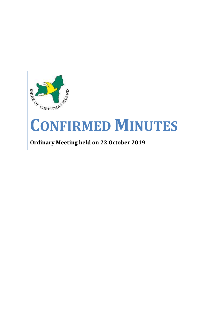

# **CONFIRMED MINUTES**

## **Ordinary Meeting held on 22 October 2019**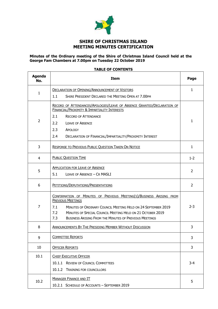

### **SHIRE OF CHRISTMAS ISLAND MEETING MINUTES CERTIFICATION**

#### **Minutes of the Ordinary meeting of the Shire of Christmas Island Council held at the George Fam Chambers at 7.00pm on Tuesday 22 October 2019**

#### **TABLE OF CONTENTS**

 $\mathbf{r}$ 

| <b>Agenda</b><br>No. | <b>Item</b>                                                                                                             |                |
|----------------------|-------------------------------------------------------------------------------------------------------------------------|----------------|
|                      | <b>DECLARATION OF OPENING/ANNOUNCEMENT OF VISITORS</b>                                                                  | $\mathbf{1}$   |
| 1                    | 1.1<br>SHIRE PRESIDENT DECLARED THE MEETING OPEN AT 7.00PM                                                              |                |
|                      | RECORD OF ATTENDANCES/APOLOGIES/LEAVE OF ABSENCE GRANTED/DECLARATION OF<br>FINANCIAL/PROXIMITY & IMPARTIALITY INTERESTS |                |
| $\overline{2}$       | 2.1<br><b>RECORD OF ATTENDANCE</b>                                                                                      |                |
|                      | 2.2<br><b>LEAVE OF ABSENCE</b>                                                                                          |                |
|                      | 2.3<br>APOLOGY                                                                                                          |                |
|                      | 2.4<br>DECLARATION OF FINANCIAL/IMPARTIALITY/PROXIMITY INTEREST                                                         |                |
| 3                    | <b>RESPONSE TO PREVIOUS PUBLIC QUESTION TAKEN ON NOTICE</b>                                                             | $\mathbf{1}$   |
| $\overline{4}$       | <b>PUBLIC QUESTION TIME</b>                                                                                             | $1 - 2$        |
| 5                    | <b>APPLICATION FOR LEAVE OF ABSENCE</b>                                                                                 | $\overline{2}$ |
|                      | 5.1<br>LEAVE OF ABSENCE - CR MASLI                                                                                      |                |
| 6                    | PETITIONS/DEPUTATIONS/PRESENTATIONS                                                                                     | $\overline{2}$ |
|                      | CONFIRMATION OF MINUTES OF PREVIOUS MEETING(S)/BUSINESS ARISING FROM<br><b>PREVIOUS MEETINGS</b>                        |                |
| $\overline{7}$       | MINUTES OF ORDINARY COUNCIL MEETING HELD ON 24 SEPTEMBER 2019<br>7.1                                                    |                |
|                      | 7.2<br><b>MINUTES OF SPECIAL COUNCIL MEETING HELD ON 21 OCTOBER 2019</b>                                                |                |
|                      | 7.3<br><b>BUSINESS ARISING FROM THE MINUTES OF PREVIOUS MEETINGS</b>                                                    |                |
| 8                    | <b>ANNOUNCEMENTS BY THE PRESIDING MEMBER WITHOUT DISCUSSION</b>                                                         | 3              |
| 9                    | <b>COMMITTEE REPORTS</b>                                                                                                | 3              |
| 10                   | <b>OFFICER REPORTS</b>                                                                                                  | 3              |
| 10.1                 | <b>CHIEF EXECUTIVE OFFICER</b>                                                                                          |                |
|                      | 10.1.1 REVIEW OF COUNCIL COMMITTEES                                                                                     | $3 - 4$        |
|                      | 10.1.2 TRAINING FOR COUNCILLORS                                                                                         |                |
| 10.2                 | <b>MANAGER FINANCE AND IT</b><br>10.2.1 SCHEDULE OF ACCOUNTS - SEPTEMBER 2019                                           | 5              |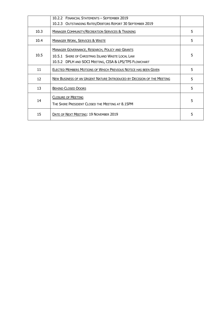|                   | 10.2.2 FINANCIAL STATEMENTS - SEPTEMBER 2019                                                                                                                         |   |
|-------------------|----------------------------------------------------------------------------------------------------------------------------------------------------------------------|---|
|                   | 10.2.3 OUTSTANDING RATES/DEBTORS REPORT 30 SEPTEMBER 2019                                                                                                            |   |
| 10.3              | <b>MANAGER COMMUNITY/RECREATION SERVICES &amp; TRAINING</b>                                                                                                          | 5 |
| 10.4              | <b>MANAGER WORK, SERVICES &amp; WASTE</b>                                                                                                                            | 5 |
| 10.5              | <b>MANAGER GOVERNANCE, RESEARCH, POLICY AND GRANTS</b><br>10.5.1 SHIRE OF CHRISTMAS ISLAND WASTE LOCAL LAW<br>10.5.2 DPLH AND SOCI MEETING, CISA & LPS/TPS FLOWCHART | 5 |
| 11                | <b>ELECTED MEMBERS MOTIONS OF WHICH PREVIOUS NOTICE HAS BEEN GIVEN</b>                                                                                               | 5 |
| $12 \overline{ }$ | NEW BUSINESS OF AN URGENT NATURE INTRODUCED BY DECISION OF THE MEETING                                                                                               | 5 |
| 13                | <b>BEHIND CLOSED DOORS</b>                                                                                                                                           | 5 |
| 14                | <b>CLOSURE OF MEETING</b><br>THE SHIRE PRESIDENT CLOSED THE MEETING AT 8.15PM                                                                                        | 5 |
| 15                | DATE OF NEXT MEETING: 19 NOVEMBER 2019                                                                                                                               | 5 |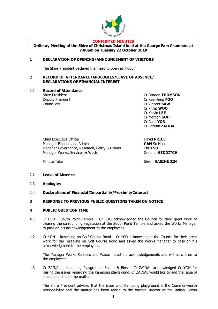

#### **CONFIRMED MINUTES**

**Ordinary Meeting of the Shire of Christmas Island held at the George Fam Chambers at 7.00pm on Tuesday 22 October 2019**

#### **1 DECLARATION OF OPENING/ANNOUNCEMENT OF VISITORS**

The Shire President declared the meeting open at 7.00pm.

#### **2 RECORD OF ATTENDANCE/APOLOGIES/LEAVE OF ABSENCE/ DECLARATIONS OF FINANCIAL INTEREST**

#### 2.1 **Record of Attendance**

Councillors **Councillors** Cr Vincent **SAW** 

Shire President Cr Gordon **THOMSON** Deputy President Cr Kee Heng **FOO** Cr Philip **WOO** Cr Kelvin **LEE** Cr Morgan **SOH** Cr Azmi **YON** Cr Farzian **ZAINAL**

Chief Executive Officer David **PRICE** Manager Finance and Admin **GAN** So Hon Manager Governance, Research, Policy & Grants **Chris SU** Manager Works, Services & Waste Graeme **HEDDITCH** 

Minute Taker **Shikin HASINUDIN** 

#### 2.2 **Leave of Absence**

- 2.3 **Apologies**
- 2.4 **Declarations of Financial/Impartiality/Proximity Interest**

#### **3 RESPONSE TO PREVIOUS PUBLIC QUESTIONS TAKEN ON NOTICE**

#### **4 PUBLIC QUESTION TIME**

- 4.1 Cr FOO South Point Temple Cr FOO acknowledged the Council for their great work of clearing the surrounding vegetation at the South Point Temple and asked the Works Manager to pass on his acknowledgement to the employees.
- 4.2 Cr YON Resealing on Golf Course Road Cr YON acknowledged the Council for their great work for the resealing on Golf Course Road and asked the Works Manager to pass on his acknowledgment to the employees.

The Manager Works Services and Waste noted the acknowledgements and will pass it on to the employees.

4.3 Cr ZAINAL – Kampong Playground, Shade & Bins – Cr ZAINAL acknowledged Cr YON for raising the issues regarding the Kampong playground. Cr ZAINAL would like to add the issue of shade and bins to the matter.

The Shire President advised that the issue with Kampong playground is the Commonwealth responsibility and the matter has been raised to the former Director at the Indian Ocean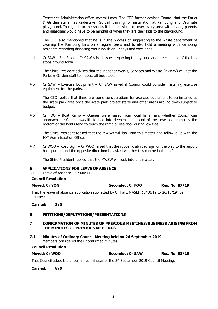Territories Administration office several times. The CEO further advised Council that the Parks & Garden staffs has undertaken Softfall training for installation at Kampong and Drumsite playground. In regards to the shade, it is impossible to cover every area with shade, parents and guardians would have to be mindful of when they are their kids to the playground.

The CEO also mentioned that he is in the process of suggesting to the waste department of cleaning the Kampong bins on a regular basis and to also hold a meeting with Kampong residents regarding disposing wet rubbish on Fridays and weekends.

4.4 Cr SAW – Bus Stops – Cr SAW raised issues regarding the hygiene and the condition of the bus stops around town.

The Shire President advises that the Manager Works, Services and Waste (MWSW) will get the Parks & Garden staff to inspect all bus stops.

4.5 Cr SAW – Exercise Equipment – Cr SAW asked if Council could consider installing exercise equipment for the parks.

The CEO replied that there are some considerations for exercise equipment to be installed at the skate park area once the skate park project starts and other areas around town subject to budget.

4.6 Cr FOO – Boat Ramp – Queries were raised from local fisherman, whether Council can approach the Commonwealth to look into deepening the end of the cove boat ramp as the bottom of the boats tend to touch the ramp or sea floor during low tide.

The Shire President replied that the MWSW will look into this matter and follow it up with the IOT Administration Office.

4.7 Cr WOO – Road Sign – Cr WOO raised that the robber crab road sign on the way to the airport has spun around the opposite direction; he asked whether this can be looked at?

The Shire President replied that the MWSW will look into this matter.

#### **5 APPLICATIONS FOR LEAVE OF ABSENCE**

5.1 Leave of Absence – Cr MASLI

| <b>Council Resolution</b> |  |                                                                                             |                       |  |
|---------------------------|--|---------------------------------------------------------------------------------------------|-----------------------|--|
| <b>Moved: Cr YON</b>      |  | Seconded: Cr FOO                                                                            | <b>Res. No: 87/19</b> |  |
| approved.                 |  | That the leave of absence application submitted by Cr Hafiz MASLI (15/10/19 to 26/10/19) be |                       |  |
|                           |  |                                                                                             |                       |  |

#### **6 PETITIONS/DEPUTATIONS/PRESENTATIONS**

#### **7 CONFIRMATION OF MINUTES OF PREVIOUS MEETINGS/BUSINESS ARISING FROM THE MINUTES OF PREVIOUS MEETINGS**

**7.1 Minutes of Ordinary Council Meeting held on 24 September 2019** Members considered the unconfirmed minutes.

| <b>Council Resolution</b> |                                                                                      |                         |                       |
|---------------------------|--------------------------------------------------------------------------------------|-------------------------|-----------------------|
| Moved: Cr WOO             |                                                                                      | <b>Seconded: Cr SAW</b> | <b>Res. No: 88/19</b> |
|                           | That Council adopt the unconfirmed minutes of the 24 September 2019 Council Meeting. |                         |                       |
| <b>Carried:</b>           | 8/0                                                                                  |                         |                       |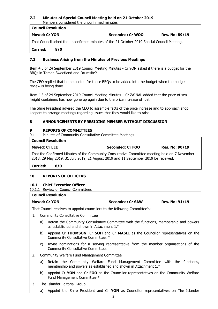#### **7.2 Minutes of Special Council Meeting held on 21 October 2019** Members considered the unconfirmed minutes.

## **Council Resolution Moved: Cr YON Seconded: Cr WOO Res. No: 89/19**

That Council adopt the unconfirmed minutes of the 21 October 2019 Special Council Meeting.

**Carried: 8/0**

#### **7.3 Business Arising from the Minutes of Previous Meetings**

Item 4.5 of 24 September 2019 Council Meeting Minutes - Cr YON asked if there is a budget for the BBQs in Taman Sweetland and Drumsite?

The CEO replied that he has noted for these BBQs to be added into the budget when the budget review is being done.

Item 4.3 of 24 September 2019 Council Meeting Minutes – Cr ZAINAL added that the price of sea freight containers has now gone up again due to the price increase of fuel.

The Shire President advised the CEO to assemble facts of the price increase and to approach shop keepers to arrange meetings regarding issues that they would like to raise.

#### **8 ANNOUNCEMENTS BY PRESIDING MEMBER WITHOUT DISCUSSION**

#### **9 REPORTS OF COMMITTEES**

9.1 Minutes of Community Consultative Committee Meetings

#### **Council Resolution**

| <b>Moved: Cr LEE</b> | <b>Seconded: Cr FOO</b> | <b>Res. No: 90/19</b> |
|----------------------|-------------------------|-----------------------|
|                      |                         |                       |

That the Confirmed Minutes of the Community Consultative Committee meeting held on 7 November 2018, 29 May 2019, 31 July 2019, 21 August 2019 and 11 September 2019 be received.

**Carried: 8/0**

#### **10 REPORTS OF OFFICERS**

#### **10.1 Chief Executive Officer**

10.1.1 Review of Council Committees

#### **Council Resolution**

**Moved: Cr YON Seconded: Cr SAW Res. No: 91/19**

That Council resolves to appoint councillors to the following Committee's:

- 1. Community Consultative Committee
	- a) Retain the Community Consultative Committee with the functions, membership and powers as established and shown in Attachment 1.\*
	- b) Appoint Cr **THOMSON**, Cr **SOH** and Cr **MASLI** as the Councillor representatives on the Community Consultative Committee. \*
	- c) Invite nominations for a serving representative from the member organisations of the Community Consultative Committee.
- 2. Community Welfare Fund Management Committee
	- a) Retain the Community Welfare Fund Management Committee with the functions, membership and powers as established and shown in Attachment 1.\*
	- b) Appoint Cr **YON** and Cr **FOO** as the Councillor representatives on the Community Welfare Fund Management Committee.\*
- 3. The Islander Editorial Group
	- a) Appoint the Shire President and Cr **YON** as Councillor representatives on The Islander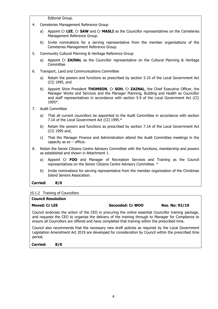Editorial Group.

- 4. Cemeteries Management Reference Group
	- a) Appoint Cr **LEE**, Cr **SAW** and Cr **MASLI** as the Councillor representatives on the Cemeteries Management Reference Group.
	- b) Invite nominations for a serving representative from the member organisations of the Cemeteries Management Reference Group.
- 5. Community Cultural Planning & Heritage Reference Group
	- a) Appoint Cr **ZAINAL** as the Councillor representative on the Cultural Planning & Heritage **Committee**
- 6. Transport, Land and Communications Committee
	- a) Retain the powers and functions as prescribed by section 5.10 of the Local Government Act (CI) 1995, and
	- b) Appoint Shire President **THOMSON**, Cr **SOH**, Cr **ZAINAL**, the Chief Executive Officer, the Manager Works and Services and the Manager Planning, Building and Health as Councillor and staff representatives in accordance with section 5.9 of the Local Government Act (CI) 1995\*.
- 7. Audit Committee
	- a) That all current councillors be appointed to the Audit Committee in accordance with section 7.1A of the Local Government Act (CI) 1995.\*
	- b) Retain the powers and functions as prescribed by section 7.1A of the Local Government Act (CI) 1995 and,
	- c) That the Manager Finance and Administration attend the Audit Committee meetings in the capacity as  $ex -$  officio.
- 8. Retain the Senior Citizens Centre Advisory Committee with the functions, membership and powers as established and shown in Attachment 1.
	- a) Appoint Cr **FOO** and Manager of Recreation Services and Training as the Council representatives on the Senior Citizens Centre Advisory Committee. \*
	- b) Invite nominations for serving representative from the member organisation of the Christmas Island Seniors Association.

#### **Carried: 8/0**

#### 10.1.2 Training of Councillors

#### **Council Resolution**

**Moved: Cr LEE Seconded: Cr WOO Res. No: 92/19**

Council endorses the action of the CEO in procuring the online essential Councillor training package, and requests the CEO to organise the delivery of the training through to Manager for Compliance to ensure all Councillors are offered and have completed that training within the prescribed time.

Council also recommends that the necessary new draft policies as required by the Local Government Legislation Amendment Act 2019 are developed for consideration by Council within the prescribed time period.

**Carried: 8/0**